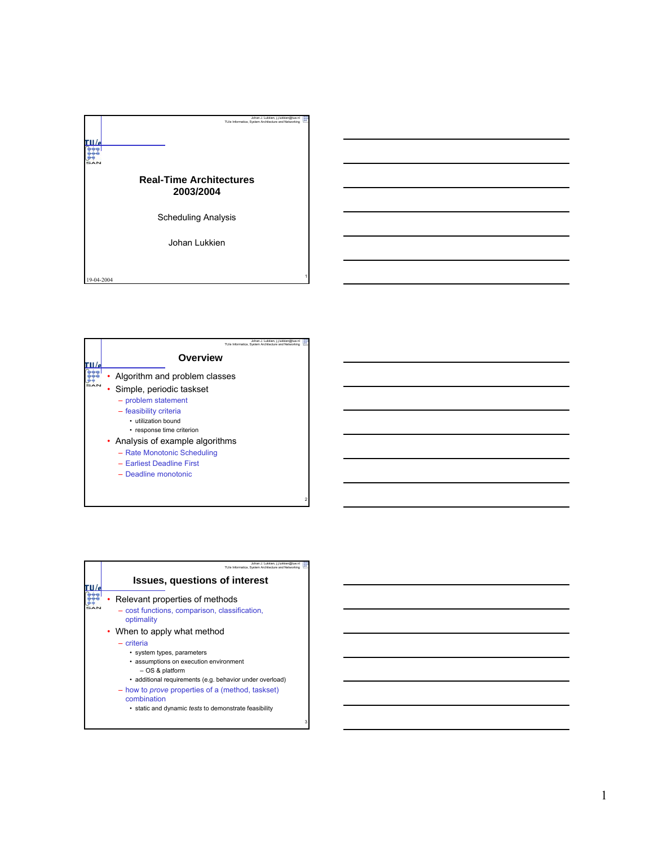

| Johan J. Lukkien, i.i.lukkien@tue.nl<br>TU/e Informatica. System Architecture and Networking |  |
|----------------------------------------------------------------------------------------------|--|
| Overview                                                                                     |  |
| Algorithm and problem classes                                                                |  |
| Simple, periodic taskset                                                                     |  |
| - problem statement                                                                          |  |
| - feasibility criteria                                                                       |  |
| • utilization bound<br>• response time criterion                                             |  |
| • Analysis of example algorithms                                                             |  |
| - Rate Monotonic Scheduling                                                                  |  |
| - Earliest Deadline First                                                                    |  |
| - Deadline monotonic                                                                         |  |
|                                                                                              |  |
|                                                                                              |  |

|  | Johan J. Lukkien, j.j.lukkien@tue.nl<br>TU/e Informatica. System Architecture and Networking                                                                                                                                                                                                                                          |   |
|--|---------------------------------------------------------------------------------------------------------------------------------------------------------------------------------------------------------------------------------------------------------------------------------------------------------------------------------------|---|
|  | <b>Issues, questions of interest</b>                                                                                                                                                                                                                                                                                                  |   |
|  | Relevant properties of methods<br>- cost functions, comparison, classification,<br>optimality                                                                                                                                                                                                                                         |   |
|  | • When to apply what method<br>- criteria<br>• system types, parameters<br>• assumptions on execution environment<br>$-$ OS & platform<br>• additional requirements (e.g. behavior under overload)<br>- how to <i>prove</i> properties of a (method, taskset)<br>combination<br>• static and dynamic tests to demonstrate feasibility |   |
|  |                                                                                                                                                                                                                                                                                                                                       | 3 |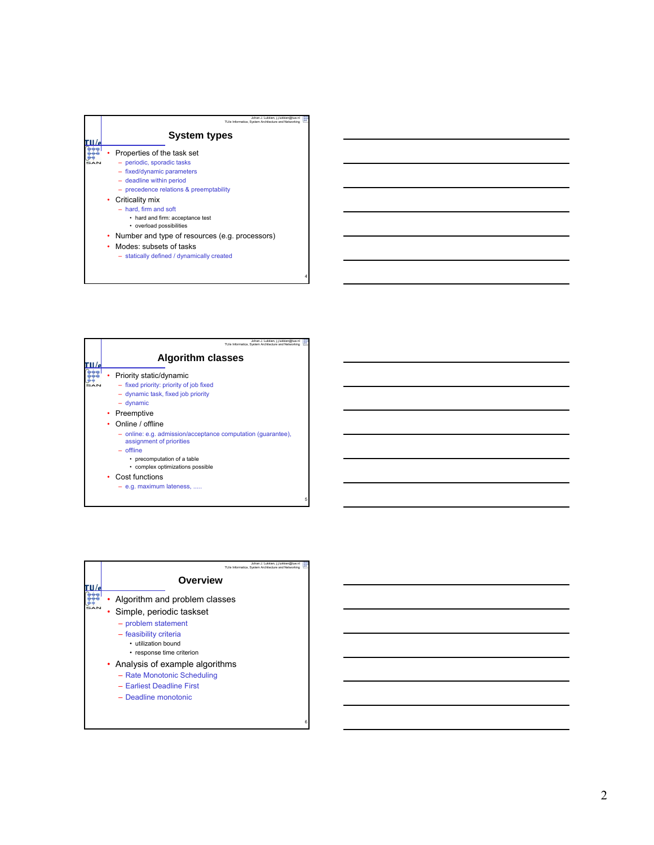

| Johan J. Lukkien, i.i.lukkien@tue.n<br>TU/e Informatica, System Architecture and Networking                                                                                                                                                                                                                                                                                             |
|-----------------------------------------------------------------------------------------------------------------------------------------------------------------------------------------------------------------------------------------------------------------------------------------------------------------------------------------------------------------------------------------|
| <b>Algorithm classes</b>                                                                                                                                                                                                                                                                                                                                                                |
| Priority static/dynamic<br>- fixed priority: priority of job fixed<br>- dynamic task, fixed job priority<br>$-$ dynamic<br>• Preemptive<br>Online / offline<br>- online: e.g. admission/acceptance computation (quarantee),<br>assignment of priorities<br>$-$ offline<br>• precomputation of a table<br>• complex optimizations possible<br>Cost functions<br>- e.g. maximum lateness, |
|                                                                                                                                                                                                                                                                                                                                                                                         |

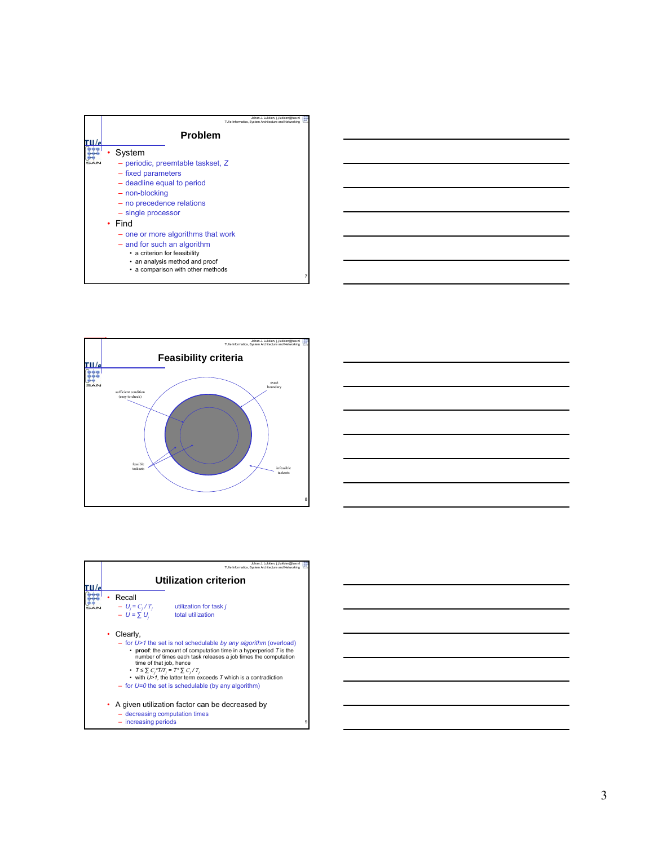







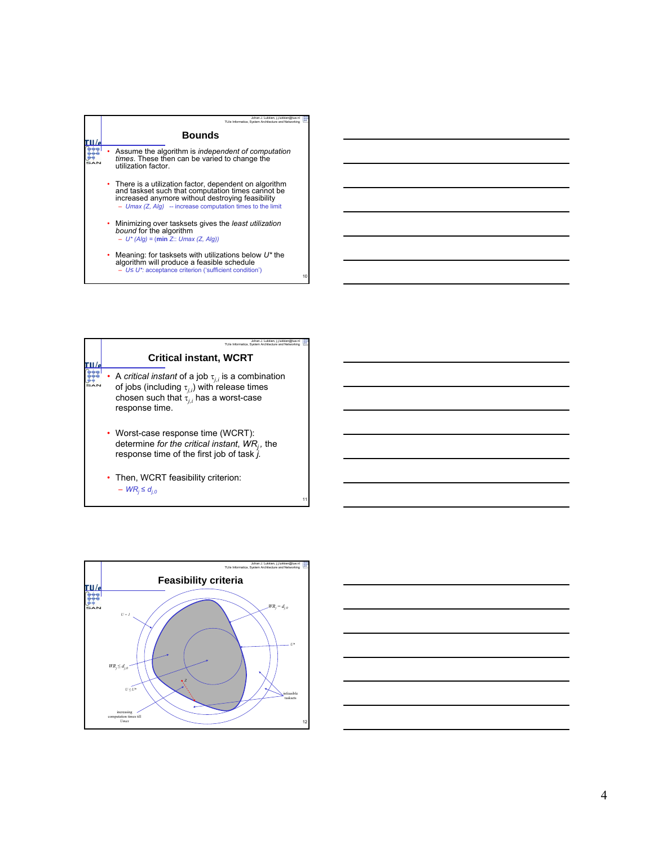

| Johan J. Lukkien, i.i.lukkien@tue.nl<br>TU/e Informatica. System Architecture and Networking                                                                                            |    |
|-----------------------------------------------------------------------------------------------------------------------------------------------------------------------------------------|----|
| <b>Critical instant, WCRT</b>                                                                                                                                                           |    |
| • A critical instant of a job $\tau_{j,i}$ is a combination<br>of jobs (including $\tau_{i,i}$ ) with release times<br>chosen such that $\tau_{i,i}$ has a worst-case<br>response time. |    |
| • Worst-case response time (WCRT):<br>determine for the critical instant, $WR_i$ , the<br>response time of the first job of task j.                                                     |    |
| • Then, WCRT feasibility criterion:<br>$-WR_i \leq d_{i0}$                                                                                                                              | 11 |



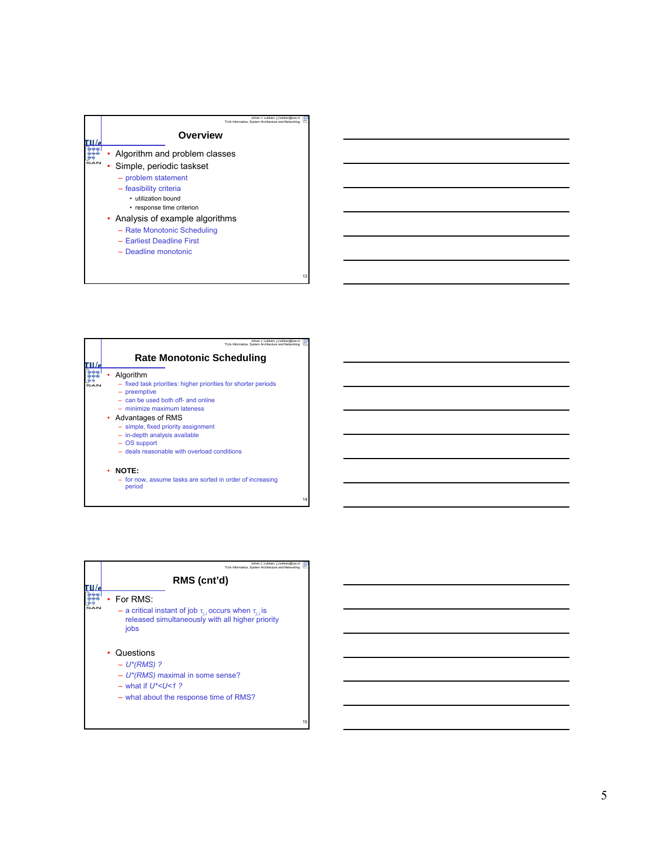

| Johan J. Lukkien, j.j.lukkien@tue.n<br>TU/e Informatica. System Architecture and Networking                                                                        |
|--------------------------------------------------------------------------------------------------------------------------------------------------------------------|
| <b>Rate Monotonic Scheduling</b>                                                                                                                                   |
| Algorithm<br>- fixed task priorities: higher priorities for shorter periods<br>- preemptive<br>- can be used both off- and online<br>$-$ minimize maximum lateness |
| • Advantages of RMS<br>- simple, fixed priority assignment<br>- in-depth analysis available<br>- OS support<br>- deals reasonable with overload conditions         |
| NOTE:<br>٠<br>- for now, assume tasks are sorted in order of increasing<br>period                                                                                  |

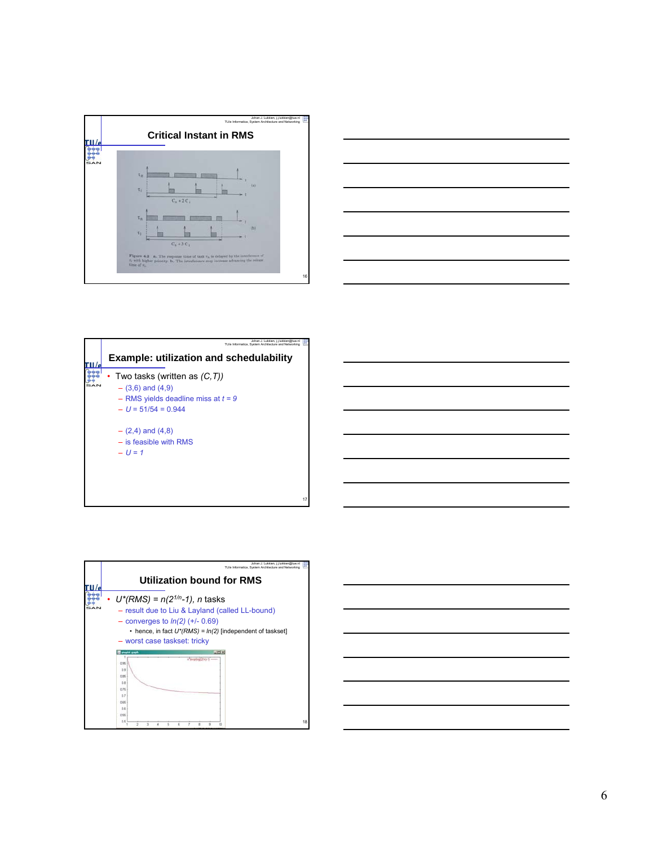







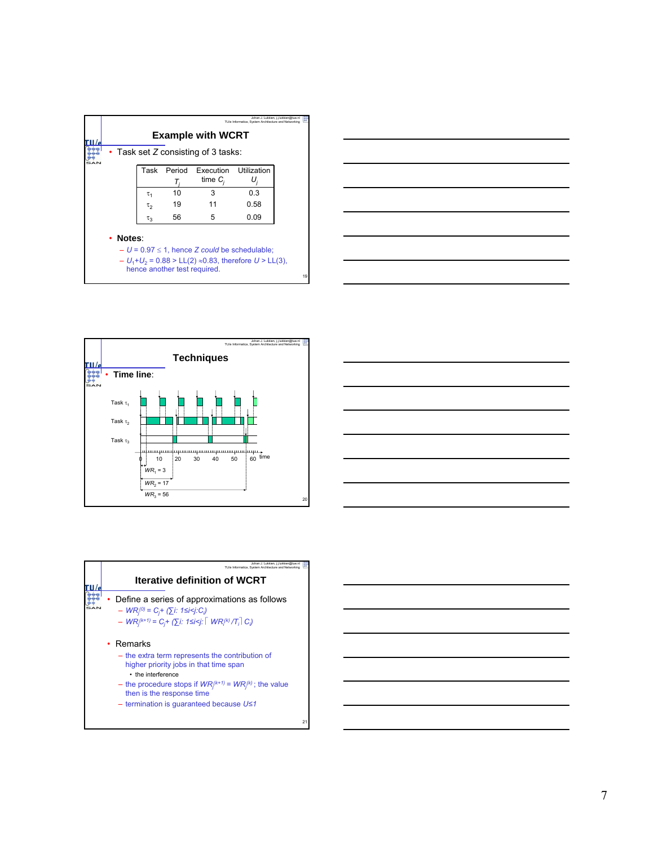





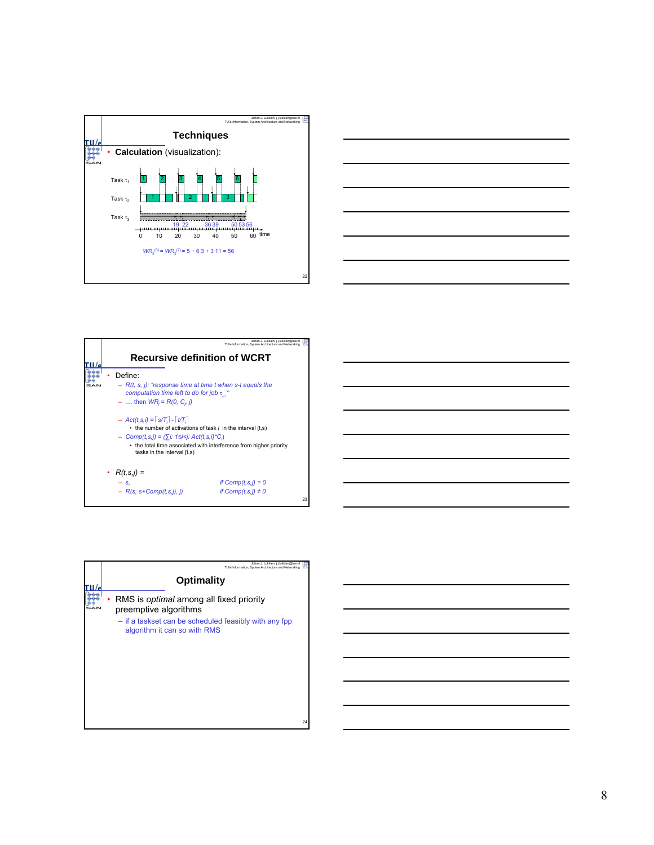



|                                                                                                                                                                                                                                                                                                                                                                                                | Johan J. Lukkien, j.j.lukkien@tue.nl<br>TU/e Informatica. System Architecture and Networking |    |
|------------------------------------------------------------------------------------------------------------------------------------------------------------------------------------------------------------------------------------------------------------------------------------------------------------------------------------------------------------------------------------------------|----------------------------------------------------------------------------------------------|----|
| <b>Recursive definition of WCRT</b>                                                                                                                                                                                                                                                                                                                                                            |                                                                                              |    |
| Define:<br>$-$ R(t, s, j): "response time at time t when s-t equals the<br>computation time left to do for job $\tau_{ii}$ "<br>$-$ then $WR_i = R(0, C_i, j)$<br>$-$ Act(t, s, i) = $\lceil s/T_i \rceil$ - $\lceil t/T_i \rceil$<br>• the number of activations of task i in the interval [t,s]<br>$-$ Comp(t,s,j) = $(\sum i: 1 \le i \le j: Act(t,s,i)^*C)$<br>tasks in the interval [t,s] | • the total time associated with interference from higher priority                           |    |
| • $R(t,s,j) =$<br>$ S$ .<br>$- R(s, s + Comp(t, s, j), j)$                                                                                                                                                                                                                                                                                                                                     | if $Comp(t, s, j) = 0$<br>if $Comp(t,s,j) \neq 0$                                            | 23 |

| <u>state and the state of the state of the state of the state of the state of the state of the state of the state of the state of the state of the state of the state of the state of the state of the state of the state of the</u> |  |  |  |
|--------------------------------------------------------------------------------------------------------------------------------------------------------------------------------------------------------------------------------------|--|--|--|
|                                                                                                                                                                                                                                      |  |  |  |
|                                                                                                                                                                                                                                      |  |  |  |
|                                                                                                                                                                                                                                      |  |  |  |
|                                                                                                                                                                                                                                      |  |  |  |
|                                                                                                                                                                                                                                      |  |  |  |

| Johan J. Lukkien, j.j.lukkien@tue.nl<br>TU/e Informatica. System Architecture and Networking |
|----------------------------------------------------------------------------------------------|
| <b>Optimality</b>                                                                            |
| RMS is <i>optimal</i> among all fixed priority<br>preemptive algorithms                      |
| - if a taskset can be scheduled feasibly with any fpp<br>algorithm it can so with RMS        |
|                                                                                              |
| 24                                                                                           |